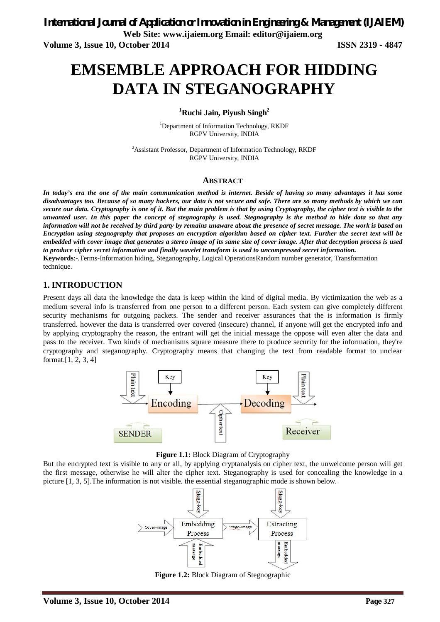**Volume 3, Issue 10, October 2014 ISSN 2319 - 4847**

# **EMSEMBLE APPROACH FOR HIDDING DATA IN STEGANOGRAPHY**

**<sup>1</sup>Ruchi Jain, Piyush Singh<sup>2</sup>**

<sup>1</sup>Department of Information Technology, RKDF RGPV University, INDIA

<sup>2</sup>Assistant Professor, Department of Information Technology, RKDF RGPV University, INDIA

### **ABSTRACT**

*In today's era the one of the main communication method is internet. Beside of having so many advantages it has some disadvantages too. Because of so many hackers, our data is not secure and safe. There are so many methods by which we can secure our data. Cryptography is one of it. But the main problem is that by using Cryptography, the cipher text is visible to the unwanted user. In this paper the concept of stegnography is used. Stegnography is the method to hide data so that any information will not be received by third party by remains unaware about the presence of secret message. The work is based on Encryption using stegnography that proposes an encryption algorithm based on cipher text. Further the secret text will be embedded with cover image that generates a stereo image of its same size of cover image. After that decryption process is used to produce cipher secret information and finally wavelet transform is used to uncompressed secret information.* **Keywords**:-*.*Terms-Information hiding, Steganography, Logical OperationsRandom number generator, Transformation technique.

## **1. INTRODUCTION**

Present days all data the knowledge the data is keep within the kind of digital media. By victimization the web as a medium several info is transferred from one person to a different person. Each system can give completely different security mechanisms for outgoing packets. The sender and receiver assurances that the is information is firmly transferred. however the data is transferred over covered (insecure) channel, if anyone will get the encrypted info and by applying cryptography the reason, the entrant will get the initial message the oppose will even alter the data and pass to the receiver. Two kinds of mechanisms square measure there to produce security for the information, they're cryptography and steganography. Cryptography means that changing the text from readable format to unclear format.[1, 2, 3, 4]



**Figure 1.1:** Block Diagram of Cryptography

But the encrypted text is visible to any or all, by applying cryptanalysis on cipher text, the unwelcome person will get the first message, otherwise he will alter the cipher text. Steganography is used for concealing the knowledge in a picture [1, 3, 5].The information is not visible. the essential steganographic mode is shown below.



**Figure 1.2:** Block Diagram of Stegnographic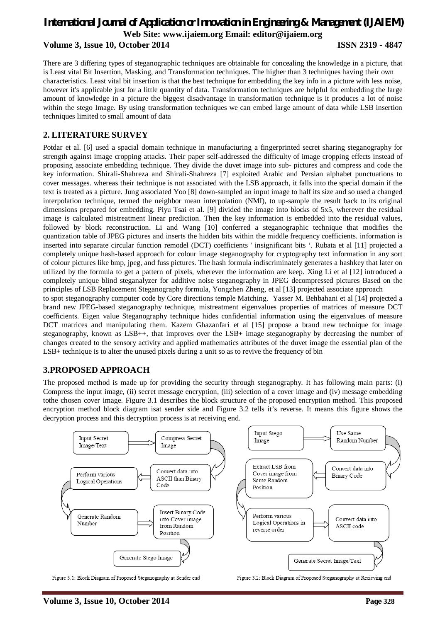## *International Journal of Application or Innovation in Engineering & Management (IJAIEM)* **Web Site: www.ijaiem.org Email: editor@ijaiem.org Volume 3, Issue 10, October 2014 ISSN 2319 - 4847**

There are 3 differing types of steganographic techniques are obtainable for concealing the knowledge in a picture, that is Least vital Bit Insertion, Masking, and Transformation techniques. The higher than 3 techniques having their own characteristics. Least vital bit insertion is that the best technique for embedding the key info in a picture with less noise, however it's applicable just for a little quantity of data. Transformation techniques are helpful for embedding the large amount of knowledge in a picture the biggest disadvantage in transformation technique is it produces a lot of noise within the stego Image. By using transformation techniques we can embed large amount of data while LSB insertion techniques limited to small amount of data

## **2. LITERATURE SURVEY**

Potdar et al. [6] used a spacial domain technique in manufacturing a fingerprinted secret sharing steganography for strength against image cropping attacks. Their paper self-addressed the difficulty of image cropping effects instead of proposing associate embedding technique. They divide the duvet image into sub- pictures and compress and code the key information. Shirali-Shahreza and Shirali-Shahreza [7] exploited Arabic and Persian alphabet punctuations to cover messages. whereas their technique is not associated with the LSB approach, it falls into the special domain if the text is treated as a picture. Jung associated Yoo [8] down-sampled an input image to half its size and so used a changed interpolation technique, termed the neighbor mean interpolation (NMI), to up-sample the result back to its original dimensions prepared for embedding. Piyu Tsai et al. [9] divided the image into blocks of 5x5, wherever the residual image is calculated mistreatment linear prediction. Then the key information is embedded into the residual values, followed by block reconstruction. Li and Wang [10] conferred a steganographic technique that modifies the quantization table of JPEG pictures and inserts the hidden bits within the middle frequency coefficients. information is inserted into separate circular function remodel (DCT) coefficients ' insignificant bits '. Rubata et al [11] projected a completely unique hash-based approach for colour image steganography for cryptography text information in any sort of colour pictures like bmp, jpeg, and fuss pictures. The hash formula indiscriminately generates a hashkey that later on utilized by the formula to get a pattern of pixels, wherever the information are keep. Xing Li et al [12] introduced a completely unique blind steganalyzer for additive noise steganography in JPEG decompressed pictures Based on the principles of LSB Replacement Steganography formula, Yongzhen Zheng, et al [13] projected associate approach to spot steganography computer code by Core directions temple Matching. Yasser M. Behbahani et al [14] projected a

brand new JPEG-based steganography technique, mistreatment eigenvalues properties of matrices of measure DCT coefficients. Eigen value Steganography technique hides confidential information using the eigenvalues of measure DCT matrices and manipulating them. Kazem Ghazanfari et al [15] propose a brand new technique for image steganography, known as LSB++, that improves over the LSB+ image steganography by decreasing the number of changes created to the sensory activity and applied mathematics attributes of the duvet image the essential plan of the LSB+ technique is to alter the unused pixels during a unit so as to revive the frequency of bin

## **3.PROPOSED APPROACH**

The proposed method is made up for providing the security through steganography. It has following main parts: (i) Compress the input image, (ii) secret message encryption, (iii) selection of a cover image and (iv) message embedding tothe chosen cover image. Figure 3.1 describes the block structure of the proposed encryption method. This proposed encryption method block diagram isat sender side and Figure 3.2 tells it's reverse. It means this figure shows the decryption process and this decryption process is at receiving end.



Figure 3.1: Block Diagram of Proposed Steganography at Sender end

Figure 3.2: Block Diagram of Proposed Steganography at Recieving end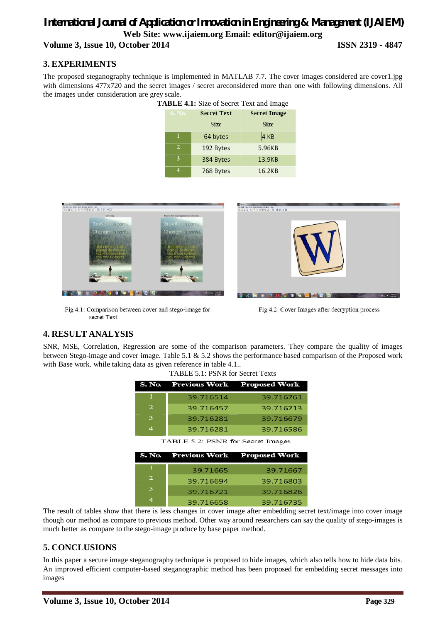## *International Journal of Application or Innovation in Engineering & Management (IJAIEM)* **Web Site: www.ijaiem.org Email: editor@ijaiem.org Volume 3, Issue 10, October 2014 ISSN 2319 - 4847**

# **3. EXPERIMENTS**

The proposed steganography technique is implemented in MATLAB 7.7. The cover images considered are cover1.jpg with dimensions 477x720 and the secret images / secret areconsidered more than one with following dimensions. All the images under consideration are grey scale.

| TABLE 4.1: Size of Secret Text and Image |                |                    |                     |  |  |
|------------------------------------------|----------------|--------------------|---------------------|--|--|
|                                          | <b>S. No.</b>  | <b>Secret Text</b> | <b>Secret Image</b> |  |  |
|                                          |                | <b>Size</b>        | <b>Size</b>         |  |  |
|                                          |                | 64 bytes           | 4 KB                |  |  |
|                                          | $\overline{2}$ | 192 Bytes          | 5.96KB              |  |  |
|                                          | 3              | 384 Bytes          | 13.9KB              |  |  |
|                                          |                | 768 Bytes          | 16.2KB              |  |  |



Fig 4.1: Comparison between cover and stego-image for secret Text

Fig 4.2: Cover Images after decryption process

# **4. RESULT ANALYSIS**

SNR, MSE, Correlation, Regression are some of the comparison parameters. They compare the quality of images between Stego-image and cover image. Table 5.1 & 5.2 shows the performance based comparison of the Proposed work with Base work. while taking data as given reference in table 4.1..

TABLE 5.1: PSNR for Secret Texts

|   | S. No. Previous Work | <b>Proposed Work</b> |
|---|----------------------|----------------------|
|   | 39.716514            | 39.716761            |
| 2 | 39.716457            | 39.716713            |
| ౩ | 39.716281            | 39.716679            |
| ⊿ | 39.716281            | 39.716586            |

|   | S. No.   Previous Work   Proposed Work |           |
|---|----------------------------------------|-----------|
|   | 39.71665                               | 39.71667  |
| 2 | 39.716694                              | 39.716803 |
| ঽ | 39.716721                              | 39.716826 |
|   | 39.716658                              | 39.716735 |

The result of tables show that there is less changes in cover image after embedding secret text/image into cover image though our method as compare to previous method. Other way around researchers can say the quality of stego-images is much better as compare to the stego-image produce by base paper method.

## **5. CONCLUSIONS**

In this paper a secure image steganography technique is proposed to hide images, which also tells how to hide data bits. An improved efficient computer-based steganographic method has been proposed for embedding secret messages into images